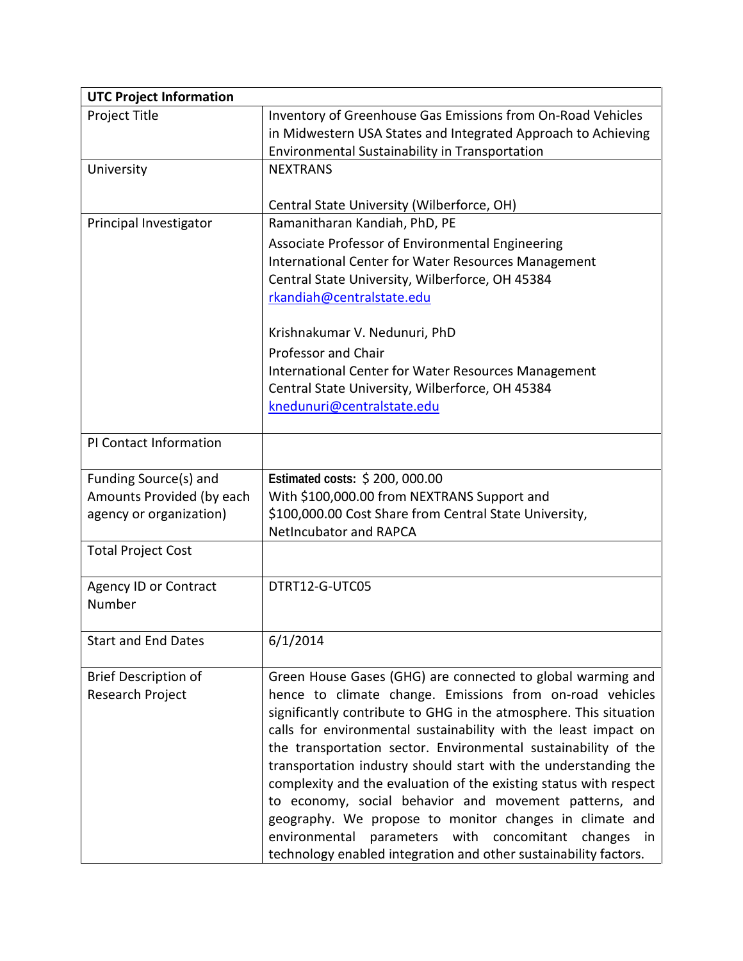| <b>UTC Project Information</b> |                                                                   |
|--------------------------------|-------------------------------------------------------------------|
| Project Title                  | Inventory of Greenhouse Gas Emissions from On-Road Vehicles       |
|                                | in Midwestern USA States and Integrated Approach to Achieving     |
|                                | Environmental Sustainability in Transportation                    |
| University                     | <b>NEXTRANS</b>                                                   |
|                                |                                                                   |
|                                | Central State University (Wilberforce, OH)                        |
| Principal Investigator         | Ramanitharan Kandiah, PhD, PE                                     |
|                                | Associate Professor of Environmental Engineering                  |
|                                | International Center for Water Resources Management               |
|                                | Central State University, Wilberforce, OH 45384                   |
|                                | rkandiah@centralstate.edu                                         |
|                                | Krishnakumar V. Nedunuri, PhD                                     |
|                                | <b>Professor and Chair</b>                                        |
|                                | International Center for Water Resources Management               |
|                                | Central State University, Wilberforce, OH 45384                   |
|                                | knedunuri@centralstate.edu                                        |
|                                |                                                                   |
| PI Contact Information         |                                                                   |
| Funding Source(s) and          | Estimated costs: \$200,000.00                                     |
| Amounts Provided (by each      | With \$100,000.00 from NEXTRANS Support and                       |
| agency or organization)        | \$100,000.00 Cost Share from Central State University,            |
|                                | <b>NetIncubator and RAPCA</b>                                     |
| <b>Total Project Cost</b>      |                                                                   |
| <b>Agency ID or Contract</b>   | DTRT12-G-UTC05                                                    |
| Number                         |                                                                   |
|                                |                                                                   |
| <b>Start and End Dates</b>     | 6/1/2014                                                          |
| <b>Brief Description of</b>    | Green House Gases (GHG) are connected to global warming and       |
| Research Project               | hence to climate change. Emissions from on-road vehicles          |
|                                | significantly contribute to GHG in the atmosphere. This situation |
|                                | calls for environmental sustainability with the least impact on   |
|                                | the transportation sector. Environmental sustainability of the    |
|                                | transportation industry should start with the understanding the   |
|                                | complexity and the evaluation of the existing status with respect |
|                                | to economy, social behavior and movement patterns, and            |
|                                | geography. We propose to monitor changes in climate and           |
|                                | environmental parameters with concomitant changes in              |
|                                | technology enabled integration and other sustainability factors.  |